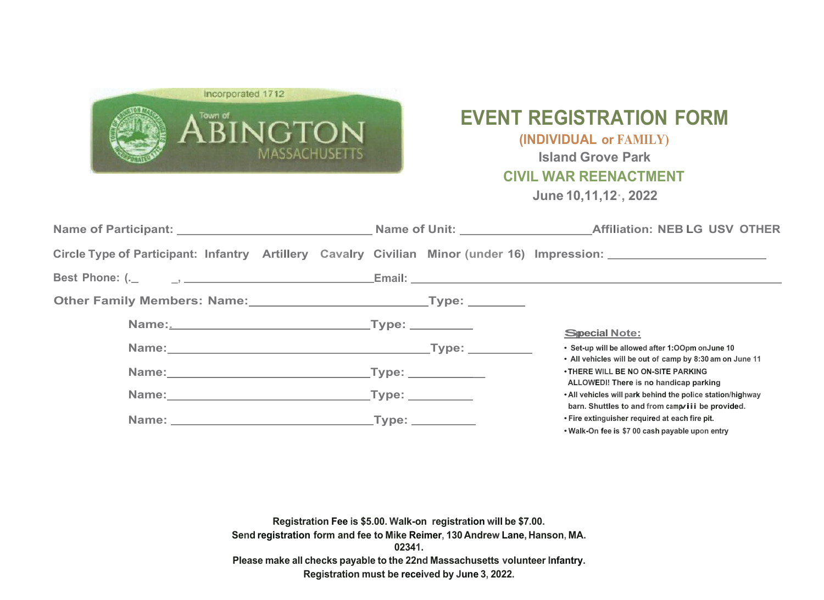## **EVENT REGISTRATION FORM**

## **(INDIVIDUAL or FAMILY)**

**Island Grove Park**

**CIVIL WAR REENACTMENT**

**June 10,11,12·, 2022**



| Circle Type of Participant: Infantry Artillery Cavalry Civilian Minor (under 16) Impression: 2008. 2012 2014 |  |                                                                                                                 |
|--------------------------------------------------------------------------------------------------------------|--|-----------------------------------------------------------------------------------------------------------------|
|                                                                                                              |  |                                                                                                                 |
|                                                                                                              |  |                                                                                                                 |
|                                                                                                              |  | <b>Special Note:</b>                                                                                            |
|                                                                                                              |  | • Set-up will be allowed after 1:00pm onJune 10<br>• All vehicles will be out of camp by 8:30 am on June 11     |
|                                                                                                              |  | . THERE WILL BE NO ON-SITE PARKING<br>ALLOWEDI! There is no handicap parking                                    |
|                                                                                                              |  | . All vehicles will park behind the police station/highway<br>barn. Shuttles to and from campvilli be provided. |
|                                                                                                              |  | • Fire extinguisher required at each fire pit.<br>. Walk-On fee is \$7 00 cash payable upon entry               |

**Registration Fee is \$5.00. Walk-on registration will be \$7.00. Send registration form and fee to Mike Reimer, 130 Andrew Lane, Hanson, MA. 02341. Please make all checks payable to the 22nd Massachusetts volunteer Infantry. Registration must be received by June 3, 2022.**